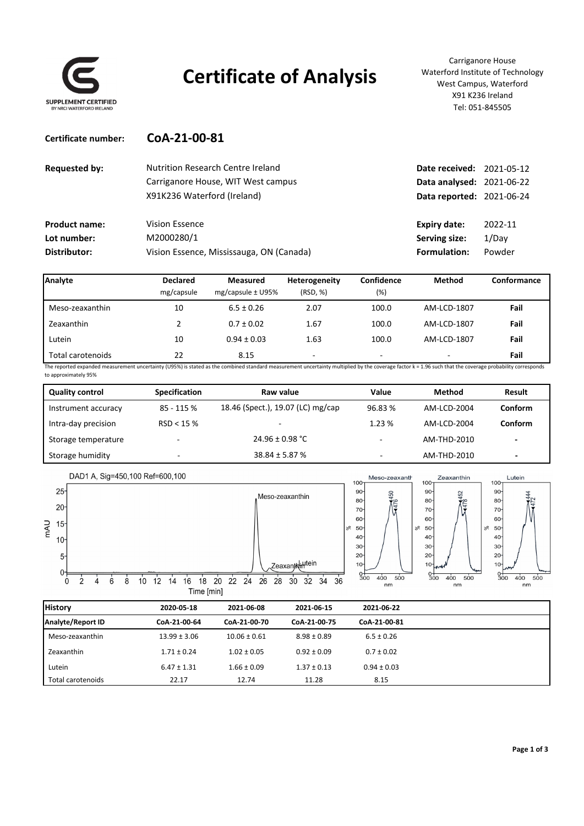

## **Certificate of Analysis**

Carriganore House Waterford Institute of Technology West Campus, Waterford X91 K236 Ireland Tel: 051‐845505

| Certificate number: | CoA-21-00-81 |  |  |  |
|---------------------|--------------|--|--|--|
|                     |              |  |  |  |

| <b>Requested by:</b> | <b>Nutrition Research Centre Ireland</b> | Date received: 2021-05-12        |         |
|----------------------|------------------------------------------|----------------------------------|---------|
|                      | Carriganore House, WIT West campus       | <b>Data analysed: 2021-06-22</b> |         |
|                      | X91K236 Waterford (Ireland)              | <b>Data reported: 2021-06-24</b> |         |
| <b>Product name:</b> | Vision Essence                           | Expiry date:                     | 2022-11 |
| Lot number:          | M2000280/1                               | Serving size:                    | 1/Dav   |
| Distributor:         | Vision Essence, Mississauga, ON (Canada) | Formulation:                     | Powder  |

| Analyte           | <b>Declared</b><br>mg/capsule | Measured<br>mg/capsule $\pm$ U95% | Heterogeneity<br>(RSD, %) | Confidence<br>$(\%)$ | Method      | Conformance |
|-------------------|-------------------------------|-----------------------------------|---------------------------|----------------------|-------------|-------------|
| Meso-zeaxanthin   | 10                            | $6.5 \pm 0.26$                    | 2.07                      | 100.0                | AM-LCD-1807 | Fail        |
| Zeaxanthin        |                               | $0.7 \pm 0.02$                    | 1.67                      | 100.0                | AM-LCD-1807 | Fail        |
| Lutein            | 10                            | $0.94 \pm 0.03$                   | 1.63                      | 100.0                | AM-LCD-1807 | Fail        |
| Total carotenoids | 22                            | 8.15                              | ۰                         | -                    |             | Fail        |

The reported expanded measurement uncertainty (U95%) is stated as the combined standard measurement uncertainty multiplied by the coverage factor k = 1.96 such that the coverage probability corresponds to approximately 95%

| <b>Quality control</b> | <b>Specification</b> | Raw value                         | Value                    | Method      | Result                   |
|------------------------|----------------------|-----------------------------------|--------------------------|-------------|--------------------------|
| Instrument accuracy    | 85 - 115 %           | 18.46 (Spect.), 19.07 (LC) mg/cap | 96.83%                   | AM-LCD-2004 | Conform                  |
| Intra-day precision    | RSD < 15%            |                                   | 1.23%                    | AM-LCD-2004 | Conform                  |
| Storage temperature    | -                    | $24.96 \pm 0.98$ °C               | $\overline{\phantom{a}}$ | AM-THD-2010 | $\overline{\phantom{0}}$ |
| Storage humidity       | -                    | $38.84 \pm 5.87 \%$               | ۰                        | AM-THD-2010 | $\overline{\phantom{0}}$ |



| <b>History</b>           | 2020 05 18       | 2021-06-08       | 2021 06 15      | 2021-06-22      |
|--------------------------|------------------|------------------|-----------------|-----------------|
| <b>Analyte/Report ID</b> | CoA-21-00-64     | CoA-21-00-70     | CoA-21-00-75    | CoA-21-00-81    |
| Meso-zeaxanthin          | $13.99 \pm 3.06$ | $10.06 \pm 0.61$ | $8.98 \pm 0.89$ | $6.5 \pm 0.26$  |
| Zeaxanthin               | $1.71 \pm 0.24$  | $1.02 \pm 0.05$  | $0.92 \pm 0.09$ | $0.7 \pm 0.02$  |
| Lutein                   | $6.47 \pm 1.31$  | $1.66 \pm 0.09$  | $1.37 \pm 0.13$ | $0.94 \pm 0.03$ |
| Total carotenoids        | 22.17            | 12.74            | 11.28           | 8.15            |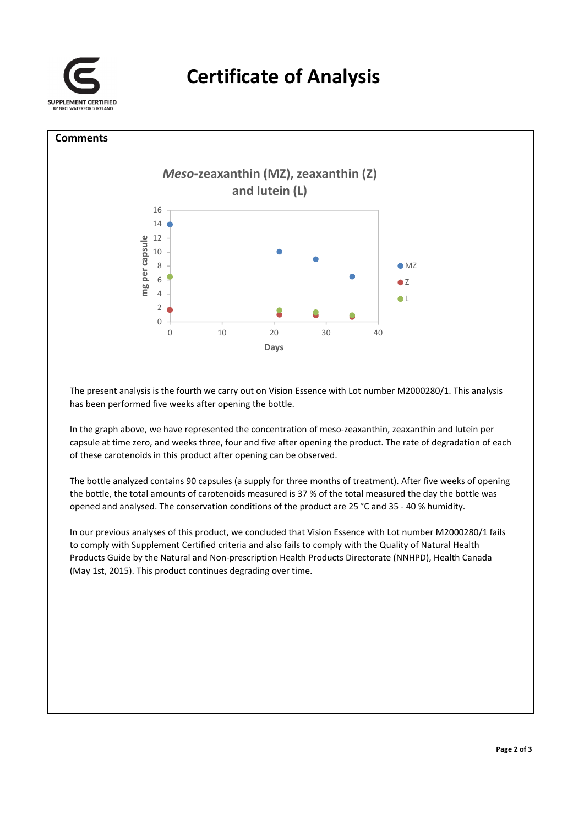

## **Comments**



The present analysis is the fourth we carry out on Vision Essence with Lot number M2000280/1. This analysis has been performed five weeks after opening the bottle.

In the graph above, we have represented the concentration of meso-zeaxanthin, zeaxanthin and lutein per capsule at time zero, and weeks three, four and five after opening the product. The rate of degradation of each of these carotenoids in this product after opening can be observed.

The bottle analyzed contains 90 capsules (a supply for three months of treatment). After five weeks of opening the bottle, the total amounts of carotenoids measured is 37 % of the total measured the day the bottle was opened and analysed. The conservation conditions of the product are 25 °C and 35 ‐ 40 % humidity.

In our previous analyses of this product, we concluded that Vision Essence with Lot number M2000280/1 fails to comply with Supplement Certified criteria and also fails to comply with the Quality of Natural Health Products Guide by the Natural and Non‐prescription Health Products Directorate (NNHPD), Health Canada (May 1st, 2015). This product continues degrading over time.